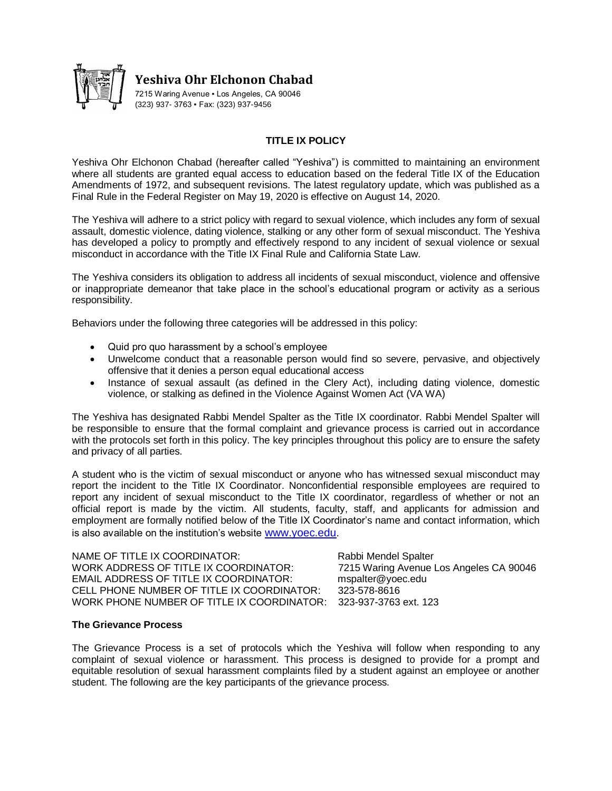

**Yeshiva Ohr Elchonon Chabad**

7215 Waring Avenue . Los Angeles, CA 90046 (323) 937- 3763 ▪ Fax: (323) 937-9456

# **TITLE IX POLICY**

Yeshiva Ohr Elchonon Chabad (hereafter called "Yeshiva") is committed to maintaining an environment where all students are granted equal access to education based on the federal Title IX of the Education Amendments of 1972, and subsequent revisions. The latest regulatory update, which was published as a Final Rule in the Federal Register on May 19, 2020 is effective on August 14, 2020.

The Yeshiva will adhere to a strict policy with regard to sexual violence, which includes any form of sexual assault, domestic violence, dating violence, stalking or any other form of sexual misconduct. The Yeshiva has developed a policy to promptly and effectively respond to any incident of sexual violence or sexual misconduct in accordance with the Title IX Final Rule and California State Law.

The Yeshiva considers its obligation to address all incidents of sexual misconduct, violence and offensive or inappropriate demeanor that take place in the school's educational program or activity as a serious responsibility.

Behaviors under the following three categories will be addressed in this policy:

- Quid pro quo harassment by a school's employee
- Unwelcome conduct that a reasonable person would find so severe, pervasive, and objectively offensive that it denies a person equal educational access
- Instance of sexual assault (as defined in the Clery Act), including dating violence, domestic violence, or stalking as defined in the Violence Against Women Act (VA WA)

The Yeshiva has designated Rabbi Mendel Spalter as the Title IX coordinator. Rabbi Mendel Spalter will be responsible to ensure that the formal complaint and grievance process is carried out in accordance with the protocols set forth in this policy. The key principles throughout this policy are to ensure the safety and privacy of all parties.

A student who is the victim of sexual misconduct or anyone who has witnessed sexual misconduct may report the incident to the Title IX Coordinator. Nonconfidential responsible employees are required to report any incident of sexual misconduct to the Title IX coordinator, regardless of whether or not an official report is made by the victim. All students, faculty, staff, and applicants for admission and employment are formally notified below of the Title IX Coordinator's name and contact information, which is also available on the institution's website <www.yoec.edu>.

NAME OF TITLE IX COORDINATOR: Rabbi Mendel Spalter WORK ADDRESS OF TITLE IX COORDINATOR: 7215 Waring Avenue Los Angeles CA 90046 EMAIL ADDRESS OF TITLE IX COORDINATOR: mspalter@yoec.edu CELL PHONE NUMBER OF TITLE IX COORDINATOR: 323-578-8616 WORK PHONE NUMBER OF TITLE IX COORDINATOR: 323-937-3763 ext. 123

#### **The Grievance Process**

The Grievance Process is a set of protocols which the Yeshiva will follow when responding to any complaint of sexual violence or harassment. This process is designed to provide for a prompt and equitable resolution of sexual harassment complaints filed by a student against an employee or another student. The following are the key participants of the grievance process.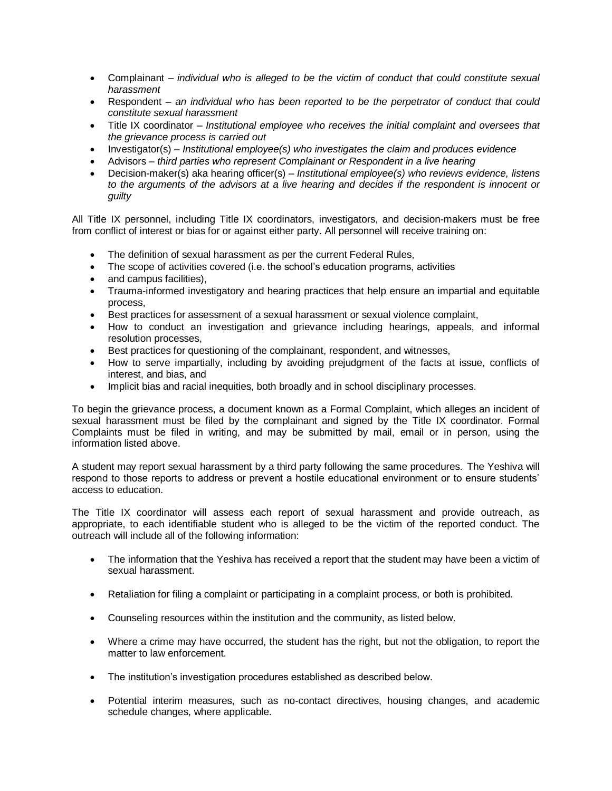- Complainant *individual who is alleged to be the victim of conduct that could constitute sexual harassment*
- Respondent *an individual who has been reported to be the perpetrator of conduct that could constitute sexual harassment*
- Title IX coordinator *Institutional employee who receives the initial complaint and oversees that the grievance process is carried out*
- Investigator(s) *Institutional employee(s) who investigates the claim and produces evidence*
- Advisors *third parties who represent Complainant or Respondent in a live hearing*
- Decision-maker(s) aka hearing officer(s) *Institutional employee(s) who reviews evidence, listens to the arguments of the advisors at a live hearing and decides if the respondent is innocent or guilty*

All Title IX personnel, including Title IX coordinators, investigators, and decision-makers must be free from conflict of interest or bias for or against either party. All personnel will receive training on:

- The definition of sexual harassment as per the current Federal Rules,
- The scope of activities covered (i.e. the school's education programs, activities
- and campus facilities),
- Trauma-informed investigatory and hearing practices that help ensure an impartial and equitable process,
- Best practices for assessment of a sexual harassment or sexual violence complaint,
- How to conduct an investigation and grievance including hearings, appeals, and informal resolution processes,
- Best practices for questioning of the complainant, respondent, and witnesses,
- How to serve impartially, including by avoiding prejudgment of the facts at issue, conflicts of interest, and bias, and
- Implicit bias and racial inequities, both broadly and in school disciplinary processes.

To begin the grievance process, a document known as a Formal Complaint, which alleges an incident of sexual harassment must be filed by the complainant and signed by the Title IX coordinator. Formal Complaints must be filed in writing, and may be submitted by mail, email or in person, using the information listed above.

A student may report sexual harassment by a third party following the same procedures. The Yeshiva will respond to those reports to address or prevent a hostile educational environment or to ensure students' access to education.

The Title IX coordinator will assess each report of sexual harassment and provide outreach, as appropriate, to each identifiable student who is alleged to be the victim of the reported conduct. The outreach will include all of the following information:

- The information that the Yeshiva has received a report that the student may have been a victim of sexual harassment.
- Retaliation for filing a complaint or participating in a complaint process, or both is prohibited.
- Counseling resources within the institution and the community, as listed below.
- Where a crime may have occurred, the student has the right, but not the obligation, to report the matter to law enforcement.
- The institution's investigation procedures established as described below.
- Potential interim measures, such as no-contact directives, housing changes, and academic schedule changes, where applicable.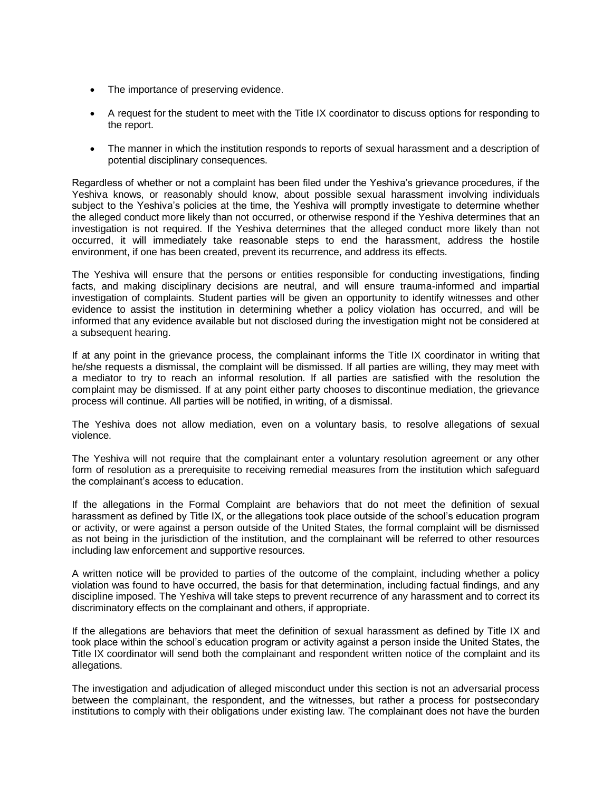- The importance of preserving evidence.
- A request for the student to meet with the Title IX coordinator to discuss options for responding to the report.
- The manner in which the institution responds to reports of sexual harassment and a description of potential disciplinary consequences.

Regardless of whether or not a complaint has been filed under the Yeshiva's grievance procedures, if the Yeshiva knows, or reasonably should know, about possible sexual harassment involving individuals subject to the Yeshiva's policies at the time, the Yeshiva will promptly investigate to determine whether the alleged conduct more likely than not occurred, or otherwise respond if the Yeshiva determines that an investigation is not required. If the Yeshiva determines that the alleged conduct more likely than not occurred, it will immediately take reasonable steps to end the harassment, address the hostile environment, if one has been created, prevent its recurrence, and address its effects.

The Yeshiva will ensure that the persons or entities responsible for conducting investigations, finding facts, and making disciplinary decisions are neutral, and will ensure trauma-informed and impartial investigation of complaints. Student parties will be given an opportunity to identify witnesses and other evidence to assist the institution in determining whether a policy violation has occurred, and will be informed that any evidence available but not disclosed during the investigation might not be considered at a subsequent hearing.

If at any point in the grievance process, the complainant informs the Title IX coordinator in writing that he/she requests a dismissal, the complaint will be dismissed. If all parties are willing, they may meet with a mediator to try to reach an informal resolution. If all parties are satisfied with the resolution the complaint may be dismissed. If at any point either party chooses to discontinue mediation, the grievance process will continue. All parties will be notified, in writing, of a dismissal.

The Yeshiva does not allow mediation, even on a voluntary basis, to resolve allegations of sexual violence.

The Yeshiva will not require that the complainant enter a voluntary resolution agreement or any other form of resolution as a prerequisite to receiving remedial measures from the institution which safeguard the complainant's access to education.

If the allegations in the Formal Complaint are behaviors that do not meet the definition of sexual harassment as defined by Title IX, or the allegations took place outside of the school's education program or activity, or were against a person outside of the United States, the formal complaint will be dismissed as not being in the jurisdiction of the institution, and the complainant will be referred to other resources including law enforcement and supportive resources.

A written notice will be provided to parties of the outcome of the complaint, including whether a policy violation was found to have occurred, the basis for that determination, including factual findings, and any discipline imposed. The Yeshiva will take steps to prevent recurrence of any harassment and to correct its discriminatory effects on the complainant and others, if appropriate.

If the allegations are behaviors that meet the definition of sexual harassment as defined by Title IX and took place within the school's education program or activity against a person inside the United States, the Title IX coordinator will send both the complainant and respondent written notice of the complaint and its allegations.

The investigation and adjudication of alleged misconduct under this section is not an adversarial process between the complainant, the respondent, and the witnesses, but rather a process for postsecondary institutions to comply with their obligations under existing law. The complainant does not have the burden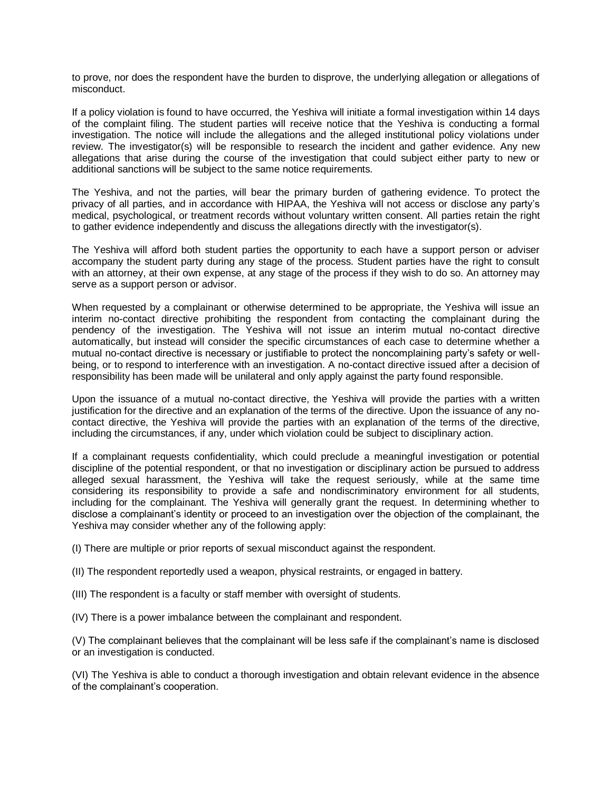to prove, nor does the respondent have the burden to disprove, the underlying allegation or allegations of misconduct.

If a policy violation is found to have occurred, the Yeshiva will initiate a formal investigation within 14 days of the complaint filing. The student parties will receive notice that the Yeshiva is conducting a formal investigation. The notice will include the allegations and the alleged institutional policy violations under review. The investigator(s) will be responsible to research the incident and gather evidence. Any new allegations that arise during the course of the investigation that could subject either party to new or additional sanctions will be subject to the same notice requirements.

The Yeshiva, and not the parties, will bear the primary burden of gathering evidence. To protect the privacy of all parties, and in accordance with HIPAA, the Yeshiva will not access or disclose any party's medical, psychological, or treatment records without voluntary written consent. All parties retain the right to gather evidence independently and discuss the allegations directly with the investigator(s).

The Yeshiva will afford both student parties the opportunity to each have a support person or adviser accompany the student party during any stage of the process. Student parties have the right to consult with an attorney, at their own expense, at any stage of the process if they wish to do so. An attorney may serve as a support person or advisor.

When requested by a complainant or otherwise determined to be appropriate, the Yeshiva will issue an interim no-contact directive prohibiting the respondent from contacting the complainant during the pendency of the investigation. The Yeshiva will not issue an interim mutual no-contact directive automatically, but instead will consider the specific circumstances of each case to determine whether a mutual no-contact directive is necessary or justifiable to protect the noncomplaining party's safety or wellbeing, or to respond to interference with an investigation. A no-contact directive issued after a decision of responsibility has been made will be unilateral and only apply against the party found responsible.

Upon the issuance of a mutual no-contact directive, the Yeshiva will provide the parties with a written justification for the directive and an explanation of the terms of the directive. Upon the issuance of any nocontact directive, the Yeshiva will provide the parties with an explanation of the terms of the directive, including the circumstances, if any, under which violation could be subject to disciplinary action.

If a complainant requests confidentiality, which could preclude a meaningful investigation or potential discipline of the potential respondent, or that no investigation or disciplinary action be pursued to address alleged sexual harassment, the Yeshiva will take the request seriously, while at the same time considering its responsibility to provide a safe and nondiscriminatory environment for all students, including for the complainant. The Yeshiva will generally grant the request. In determining whether to disclose a complainant's identity or proceed to an investigation over the objection of the complainant, the Yeshiva may consider whether any of the following apply:

(I) There are multiple or prior reports of sexual misconduct against the respondent.

(II) The respondent reportedly used a weapon, physical restraints, or engaged in battery.

- (III) The respondent is a faculty or staff member with oversight of students.
- (IV) There is a power imbalance between the complainant and respondent.

(V) The complainant believes that the complainant will be less safe if the complainant's name is disclosed or an investigation is conducted.

(VI) The Yeshiva is able to conduct a thorough investigation and obtain relevant evidence in the absence of the complainant's cooperation.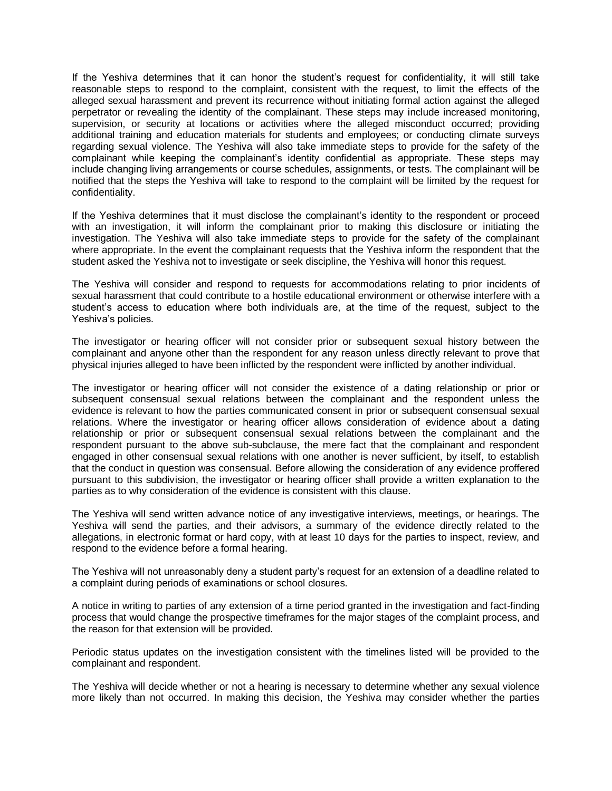If the Yeshiva determines that it can honor the student's request for confidentiality, it will still take reasonable steps to respond to the complaint, consistent with the request, to limit the effects of the alleged sexual harassment and prevent its recurrence without initiating formal action against the alleged perpetrator or revealing the identity of the complainant. These steps may include increased monitoring, supervision, or security at locations or activities where the alleged misconduct occurred; providing additional training and education materials for students and employees; or conducting climate surveys regarding sexual violence. The Yeshiva will also take immediate steps to provide for the safety of the complainant while keeping the complainant's identity confidential as appropriate. These steps may include changing living arrangements or course schedules, assignments, or tests. The complainant will be notified that the steps the Yeshiva will take to respond to the complaint will be limited by the request for confidentiality.

If the Yeshiva determines that it must disclose the complainant's identity to the respondent or proceed with an investigation, it will inform the complainant prior to making this disclosure or initiating the investigation. The Yeshiva will also take immediate steps to provide for the safety of the complainant where appropriate. In the event the complainant requests that the Yeshiva inform the respondent that the student asked the Yeshiva not to investigate or seek discipline, the Yeshiva will honor this request.

The Yeshiva will consider and respond to requests for accommodations relating to prior incidents of sexual harassment that could contribute to a hostile educational environment or otherwise interfere with a student's access to education where both individuals are, at the time of the request, subject to the Yeshiva's policies.

The investigator or hearing officer will not consider prior or subsequent sexual history between the complainant and anyone other than the respondent for any reason unless directly relevant to prove that physical injuries alleged to have been inflicted by the respondent were inflicted by another individual.

The investigator or hearing officer will not consider the existence of a dating relationship or prior or subsequent consensual sexual relations between the complainant and the respondent unless the evidence is relevant to how the parties communicated consent in prior or subsequent consensual sexual relations. Where the investigator or hearing officer allows consideration of evidence about a dating relationship or prior or subsequent consensual sexual relations between the complainant and the respondent pursuant to the above sub-subclause, the mere fact that the complainant and respondent engaged in other consensual sexual relations with one another is never sufficient, by itself, to establish that the conduct in question was consensual. Before allowing the consideration of any evidence proffered pursuant to this subdivision, the investigator or hearing officer shall provide a written explanation to the parties as to why consideration of the evidence is consistent with this clause.

The Yeshiva will send written advance notice of any investigative interviews, meetings, or hearings. The Yeshiva will send the parties, and their advisors, a summary of the evidence directly related to the allegations, in electronic format or hard copy, with at least 10 days for the parties to inspect, review, and respond to the evidence before a formal hearing.

The Yeshiva will not unreasonably deny a student party's request for an extension of a deadline related to a complaint during periods of examinations or school closures.

A notice in writing to parties of any extension of a time period granted in the investigation and fact-finding process that would change the prospective timeframes for the major stages of the complaint process, and the reason for that extension will be provided.

Periodic status updates on the investigation consistent with the timelines listed will be provided to the complainant and respondent.

The Yeshiva will decide whether or not a hearing is necessary to determine whether any sexual violence more likely than not occurred. In making this decision, the Yeshiva may consider whether the parties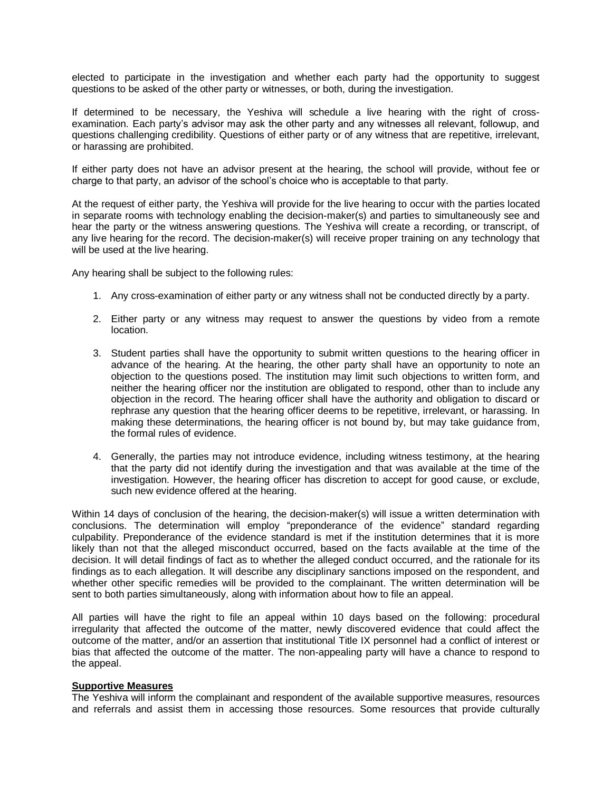elected to participate in the investigation and whether each party had the opportunity to suggest questions to be asked of the other party or witnesses, or both, during the investigation.

If determined to be necessary, the Yeshiva will schedule a live hearing with the right of crossexamination. Each party's advisor may ask the other party and any witnesses all relevant, followup, and questions challenging credibility. Questions of either party or of any witness that are repetitive, irrelevant, or harassing are prohibited.

If either party does not have an advisor present at the hearing, the school will provide, without fee or charge to that party, an advisor of the school's choice who is acceptable to that party.

At the request of either party, the Yeshiva will provide for the live hearing to occur with the parties located in separate rooms with technology enabling the decision-maker(s) and parties to simultaneously see and hear the party or the witness answering questions. The Yeshiva will create a recording, or transcript, of any live hearing for the record. The decision-maker(s) will receive proper training on any technology that will be used at the live hearing.

Any hearing shall be subject to the following rules:

- 1. Any cross-examination of either party or any witness shall not be conducted directly by a party.
- 2. Either party or any witness may request to answer the questions by video from a remote location.
- 3. Student parties shall have the opportunity to submit written questions to the hearing officer in advance of the hearing. At the hearing, the other party shall have an opportunity to note an objection to the questions posed. The institution may limit such objections to written form, and neither the hearing officer nor the institution are obligated to respond, other than to include any objection in the record. The hearing officer shall have the authority and obligation to discard or rephrase any question that the hearing officer deems to be repetitive, irrelevant, or harassing. In making these determinations, the hearing officer is not bound by, but may take guidance from, the formal rules of evidence.
- 4. Generally, the parties may not introduce evidence, including witness testimony, at the hearing that the party did not identify during the investigation and that was available at the time of the investigation. However, the hearing officer has discretion to accept for good cause, or exclude, such new evidence offered at the hearing.

Within 14 days of conclusion of the hearing, the decision-maker(s) will issue a written determination with conclusions. The determination will employ "preponderance of the evidence" standard regarding culpability. Preponderance of the evidence standard is met if the institution determines that it is more likely than not that the alleged misconduct occurred, based on the facts available at the time of the decision. It will detail findings of fact as to whether the alleged conduct occurred, and the rationale for its findings as to each allegation. It will describe any disciplinary sanctions imposed on the respondent, and whether other specific remedies will be provided to the complainant. The written determination will be sent to both parties simultaneously, along with information about how to file an appeal.

All parties will have the right to file an appeal within 10 days based on the following: procedural irregularity that affected the outcome of the matter, newly discovered evidence that could affect the outcome of the matter, and/or an assertion that institutional Title IX personnel had a conflict of interest or bias that affected the outcome of the matter. The non-appealing party will have a chance to respond to the appeal.

#### **Supportive Measures**

The Yeshiva will inform the complainant and respondent of the available supportive measures, resources and referrals and assist them in accessing those resources. Some resources that provide culturally